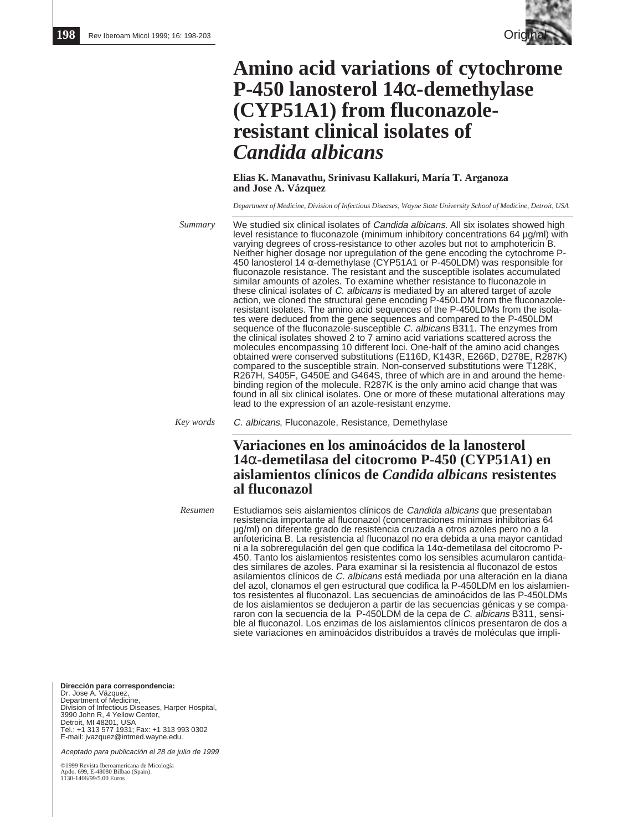

# **Amino acid variations of cytochrome P-450 lanosterol 14**α**-demethylase (CYP51A1) from fluconazoleresistant clinical isolates of** *Candida albicans*

**Elias K. Manavathu, Srinivasu Kallakuri, María T. Arganoza and Jose A. Vázquez**

*Department of Medicine, Division of Infectious Diseases, Wayne State University School of Medicine, Detroit, USA*

We studied six clinical isolates of *Candida albicans*. All six isolates showed high level resistance to fluconazole (minimum inhibitory concentrations 64 µg/ml) with varying degrees of cross-resistance to other azoles but not to amphotericin B. Neither higher dosage nor upregulation of the gene encoding the cytochrome P-450 lanosterol 14 α-demethylase (CYP51A1 or P-450LDM) was responsible for fluconazole resistance. The resistant and the susceptible isolates accumulated similar amounts of azoles. To examine whether resistance to fluconazole in these clinical isolates of C. albicans is mediated by an altered target of azole action, we cloned the structural gene encoding P-450LDM from the fluconazoleresistant isolates. The amino acid sequences of the P-450LDMs from the isolates were deduced from the gene sequences and compared to the P-450LDM sequence of the fluconazole-susceptible C. albicans B311. The enzymes from the clinical isolates showed 2 to 7 amino acid variations scattered across the molecules encompassing 10 different loci. One-half of the amino acid changes obtained were conserved substitutions (E116D, K143R, E266D, D278E, R287K) compared to the susceptible strain. Non-conserved substitutions were T128K, R267H, S405F, G450E and G464S, three of which are in and around the hemebinding region of the molecule. R287K is the only amino acid change that was found in all six clinical isolates. One or more of these mutational alterations may lead to the expression of an azole-resistant enzyme. *Summary*

C. albicans, Fluconazole, Resistance, Demethylase *Key words*

> **Variaciones en los aminoácidos de la lanosterol 14**α**-demetilasa del citocromo P-450 (CYP51A1) en aislamientos clínicos de** *Candida albicans* **resistentes al fluconazol**

Estudiamos seis aislamientos clínicos de Candida albicans que presentaban resistencia importante al fluconazol (concentraciones mínimas inhibitorias 64 µg/ml) on diferente grado de resistencia cruzada a otros azoles pero no a la anfotericina B. La resistencia al fluconazol no era debida a una mayor cantidad ni a la sobreregulación del gen que codifica la 14α-demetilasa del citocromo P-450. Tanto los aislamientos resistentes como los sensibles acumularon cantidades similares de azoles. Para examinar si la resistencia al fluconazol de estos asilamientos clínicos de C. albicans está mediada por una alteración en la diana del azol, clonamos el gen estructural que codifica la P-450LDM en los aislamientos resistentes al fluconazol. Las secuencias de aminoácidos de las P-450LDMs de los aislamientos se dedujeron a partir de las secuencias génicas y se compararon con la secuencia de la P-450LDM de la cepa de C. albicans B311, sensible al fluconazol. Los enzimas de los aislamientos clínicos presentaron de dos a siete variaciones en aminoácidos distribuídos a través de moléculas que impli-*Resumen*

**Dirección para correspondencia:**  Dr. Jose A. Vázquez, Department of Medicine, Division of Infectious Diseases, Harper Hospital, 3990 John R, 4 Yellow Center, Detroit, MI 48201, USA Tel.: +1 313 577 1931; Fax: +1 313 993 0302 E-mail: jvazquez@intmed.wayne.edu.

Aceptado para publicación el 28 de julio de 1999

©1999 Revista Iberoamericana de Micología Apdo. 699, E-48080 Bilbao (Spain). 1130-1406/99/5.00 Euros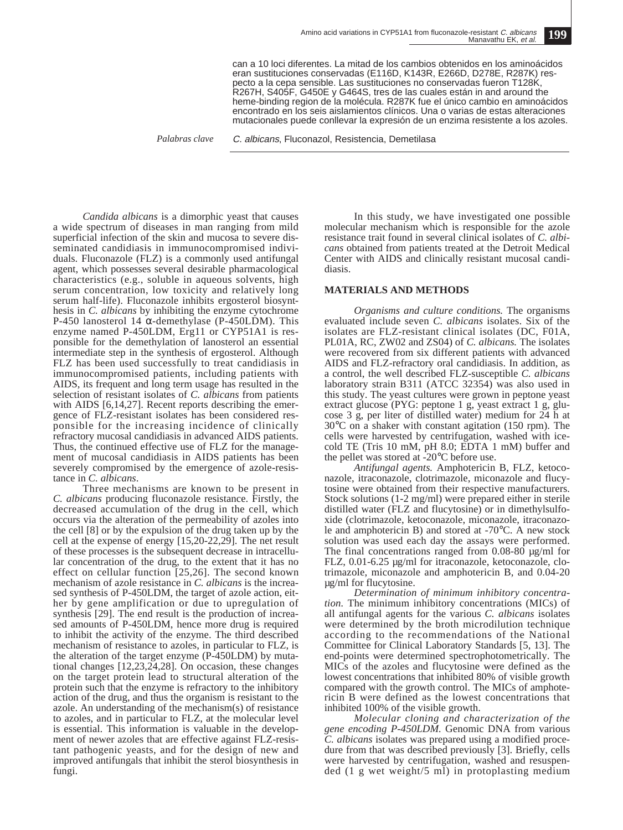can a 10 loci diferentes. La mitad de los cambios obtenidos en los aminoácidos eran sustituciones conservadas (E116D, K143R, E266D, D278E, R287K) respecto a la cepa sensible. Las sustituciones no conservadas fueron T128K, R267H, S405F, G450E y G464S, tres de las cuales están in and around the heme-binding region de la molécula. R287K fue el único cambio en aminoácidos encontrado en los seis aislamientos clínicos. Una o varias de estas alteraciones mutacionales puede conllevar la expresión de un enzima resistente a los azoles.

*Palabras clave* C. albicans, Fluconazol, Resistencia, Demetilasa

*Candida albicans* is a dimorphic yeast that causes a wide spectrum of diseases in man ranging from mild superficial infection of the skin and mucosa to severe disseminated candidiasis in immunocompromised individuals. Fluconazole (FLZ) is a commonly used antifungal agent, which possesses several desirable pharmacological characteristics (e.g., soluble in aqueous solvents, high serum concentration, low toxicity and relatively long serum half-life). Fluconazole inhibits ergosterol biosynthesis in *C. albicans* by inhibiting the enzyme cytochrome P-450 lanosterol 14  $\alpha$ -demethylase (P-450LDM). This enzyme named P-450LDM, Erg11 or CYP51A1 is responsible for the demethylation of lanosterol an essential intermediate step in the synthesis of ergosterol. Although FLZ has been used successfully to treat candidiasis in immunocompromised patients, including patients with AIDS, its frequent and long term usage has resulted in the selection of resistant isolates of *C. albicans* from patients with AIDS [6,14,27]. Recent reports describing the emergence of FLZ-resistant isolates has been considered responsible for the increasing incidence of clinically refractory mucosal candidiasis in advanced AIDS patients. Thus, the continued effective use of FLZ for the management of mucosal candidiasis in AIDS patients has been severely compromised by the emergence of azole-resistance in *C. albicans*.

Three mechanisms are known to be present in *C. albicans* producing fluconazole resistance. Firstly, the decreased accumulation of the drug in the cell, which occurs via the alteration of the permeability of azoles into the cell [8] or by the expulsion of the drug taken up by the cell at the expense of energy [15,20-22,29]. The net result of these processes is the subsequent decrease in intracellular concentration of the drug, to the extent that it has no effect on cellular function [25,26]. The second known mechanism of azole resistance in *C. albicans* is the increased synthesis of P-450LDM, the target of azole action, either by gene amplification or due to upregulation of synthesis [29]. The end result is the production of increased amounts of P-450LDM, hence more drug is required to inhibit the activity of the enzyme. The third described mechanism of resistance to azoles, in particular to FLZ, is the alteration of the target enzyme (P-450LDM) by mutational changes [12,23,24,28]. On occasion, these changes on the target protein lead to structural alteration of the protein such that the enzyme is refractory to the inhibitory action of the drug, and thus the organism is resistant to the azole. An understanding of the mechanism(s) of resistance to azoles, and in particular to FLZ, at the molecular level is essential. This information is valuable in the development of newer azoles that are effective against FLZ-resistant pathogenic yeasts, and for the design of new and improved antifungals that inhibit the sterol biosynthesis in fungi.

In this study, we have investigated one possible molecular mechanism which is responsible for the azole resistance trait found in several clinical isolates of *C. albicans* obtained from patients treated at the Detroit Medical Center with AIDS and clinically resistant mucosal candidiasis.

#### **MATERIALS AND METHODS**

*Organisms and culture conditions.* The organisms evaluated include seven *C. albicans* isolates. Six of the isolates are FLZ-resistant clinical isolates (DC, F01A, PL01A, RC, ZW02 and ZS04) of *C. albicans.* The isolates were recovered from six different patients with advanced AIDS and FLZ-refractory oral candidiasis. In addition, as a control, the well described FLZ-susceptible *C. albicans* laboratory strain B311 (ATCC 32354) was also used in this study. The yeast cultures were grown in peptone yeast extract glucose (PYG: peptone 1 g, yeast extract 1 g, glucose 3 g, per liter of distilled water) medium for 24 h at 30°C on a shaker with constant agitation (150 rpm). The cells were harvested by centrifugation, washed with icecold TE (Tris 10 mM, pH 8.0; EDTA 1 mM) buffer and the pellet was stored at -20°C before use.

*Antifungal agents.* Amphotericin B, FLZ, ketoconazole, itraconazole, clotrimazole, miconazole and flucytosine were obtained from their respective manufacturers. Stock solutions (1-2 mg/ml) were prepared either in sterile distilled water (FLZ and flucytosine) or in dimethylsulfoxide (clotrimazole, ketoconazole, miconazole, itraconazole and amphotericin B) and stored at -70°C. A new stock solution was used each day the assays were performed. The final concentrations ranged from 0.08-80 µg/ml for FLZ, 0.01-6.25 µg/ml for itraconazole, ketoconazole, clotrimazole, miconazole and amphotericin B, and 0.04-20 µg/ml for flucytosine.

*Determination of minimum inhibitory concentration.* The minimum inhibitory concentrations (MICs) of all antifungal agents for the various *C. albicans* isolates were determined by the broth microdilution technique according to the recommendations of the National Committee for Clinical Laboratory Standards [5, 13]. The end-points were determined spectrophotometrically. The MICs of the azoles and flucytosine were defined as the lowest concentrations that inhibited 80% of visible growth compared with the growth control. The MICs of amphotericin B were defined as the lowest concentrations that inhibited 100% of the visible growth.

*Molecular cloning and characterization of the gene encoding P-450LDM.* Genomic DNA from various *C. albicans* isolates was prepared using a modified procedure from that was described previously [3]. Briefly, cells were harvested by centrifugation, washed and resuspended (1 g wet weight/5 ml) in protoplasting medium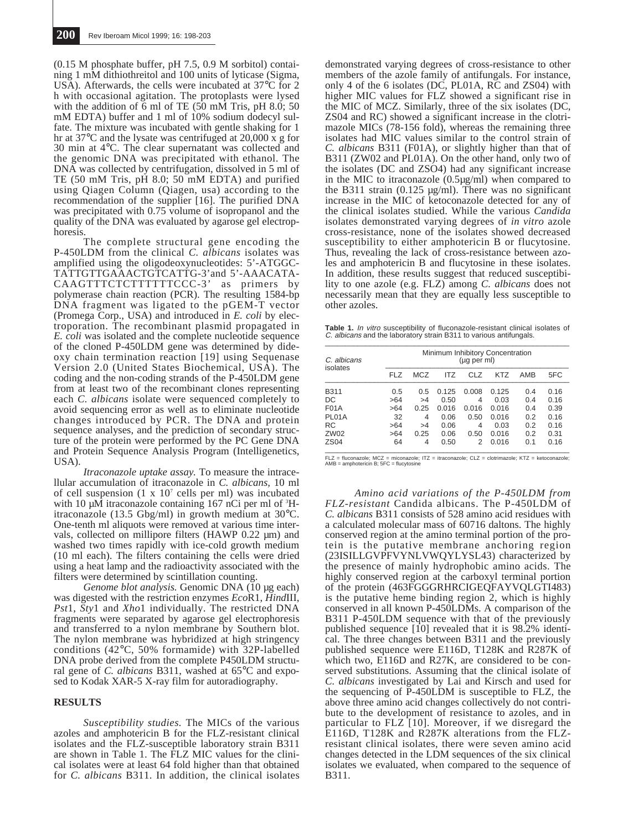(0.15 M phosphate buffer, pH 7.5, 0.9 M sorbitol) containing 1 mM dithiothreitol and 100 units of lyticase (Sigma, USA). Afterwards, the cells were incubated at 37°C for 2 h with occasional agitation. The protoplasts were lysed with the addition of  $6 \text{ ml}$  of TE  $(50 \text{ mM}$  Tris, pH  $8.0; 50$ mM EDTA) buffer and 1 ml of 10% sodium dodecyl sulfate. The mixture was incubated with gentle shaking for 1 hr at 37°C and the lysate was centrifuged at 20,000 x g for 30 min at 4°C. The clear supernatant was collected and the genomic DNA was precipitated with ethanol. The DNA was collected by centrifugation, dissolved in 5 ml of TE (50 mM Tris, pH 8.0; 50 mM EDTA) and purified using Qiagen Column (Qiagen, usa) according to the recommendation of the supplier [16]. The purified DNA was precipitated with  $0.75$  volume of isopropanol and the quality of the DNA was evaluated by agarose gel electrophoresis.

The complete structural gene encoding the P-450LDM from the clinical *C. albicans* isolates was amplified using the oligodeoxynucleotides: 5'-ATGGC-TATTGTTGAAACTGTCATTG-3'and 5'-AAACATA-CAAGTTTCTCTTTTTTCCC-3' as primers by polymerase chain reaction (PCR). The resulting 1584-bp DNA fragment was ligated to the pGEM-T vector (Promega Corp., USA) and introduced in *E. coli* by electroporation. The recombinant plasmid propagated in *E. coli* was isolated and the complete nucleotide sequence of the cloned P-450LDM gene was determined by dideoxy chain termination reaction [19] using Sequenase Version 2.0 (United States Biochemical, USA). The coding and the non-coding strands of the P-450LDM gene from at least two of the recombinant clones representing each *C. albicans* isolate were sequenced completely to avoid sequencing error as well as to eliminate nucleotide changes introduced by PCR. The DNA and protein sequence analyses, and the prediction of secondary structure of the protein were performed by the PC Gene DNA and Protein Sequence Analysis Program (Intelligenetics, USA).

*Itraconazole uptake assay.* To measure the intracellular accumulation of itraconazole in *C. albicans,* 10 ml of cell suspension  $(1 \times 10^7 \text{ cells per ml})$  was incubated with 10  $\mu$ M itraconazole containing 167 nCi per ml of  $H$ itraconazole (13.5 Gbg/ml) in growth medium at 30°C. One-tenth ml aliquots were removed at various time intervals, collected on millipore filters (HAWP 0.22 µm) and washed two times rapidly with ice-cold growth medium (10 ml each). The filters containing the cells were dried using a heat lamp and the radioactivity associated with the filters were determined by scintillation counting.

*Genome blot analysis.* Genomic DNA (10 µg each) was digested with the restriction enzymes *Eco*R1, *Hind*III, *Pst*1, *Sty*1 and *Xho*1 individually. The restricted DNA fragments were separated by agarose gel electrophoresis and transferred to a nylon membrane by Southern blot. The nylon membrane was hybridized at high stringency conditions (42°C, 50% formamide) with 32P-labelled DNA probe derived from the complete P450LDM structural gene of *C. albicans* B311, washed at 65°C and exposed to Kodak XAR-5 X-ray film for autoradiography.

### **RESULTS**

*Susceptibility studies.* The MICs of the various azoles and amphotericin B for the FLZ-resistant clinical isolates and the FLZ-susceptible laboratory strain B311 are shown in Table 1. The FLZ MIC values for the clinical isolates were at least 64 fold higher than that obtained for *C. albicans* B311. In addition, the clinical isolates

demonstrated varying degrees of cross-resistance to other members of the azole family of antifungals. For instance, only 4 of the 6 isolates (DC, PL01A, RC and ZS04) with higher MIC values for FLZ showed a significant rise in the MIC of MCZ. Similarly, three of the six isolates (DC, ZS04 and RC) showed a significant increase in the clotrimazole MICs (78-156 fold), whereas the remaining three isolates had MIC values similar to the control strain of *C. albicans* B311 (F01A), or slightly higher than that of B311 (ZW02 and PL01A). On the other hand, only two of the isolates (DC and ZSO4) had any significant increase in the MIC to itraconazole (0.5µg/ml) when compared to the B311 strain  $(0.125 \text{ µg/ml})$ . There was no significant increase in the MIC of ketoconazole detected for any of the clinical isolates studied. While the various *Candida* isolates demonstrated varying degrees of *in vitro* azole cross-resistance, none of the isolates showed decreased susceptibility to either amphotericin B or flucytosine. Thus, revealing the lack of cross-resistance between azoles and amphotericin B and flucytosine in these isolates. In addition, these results suggest that reduced susceptibility to one azole (e.g. FLZ) among *C. albicans* does not necessarily mean that they are equally less susceptible to other azoles.

**Table 1.** *In vitro* susceptibility of fluconazole-resistant clinical isolates of<br>*C. albicans* and the laboratory strain B311 to various antifungals.<br>—

| C. albicans<br>isolates | Minimum Inhibitory Concentration<br>(µg per ml) |            |       |       |       |     |      |  |  |
|-------------------------|-------------------------------------------------|------------|-------|-------|-------|-----|------|--|--|
|                         | <b>FLZ</b>                                      | <b>MCZ</b> | ITZ   | CLZ   | KTZ   | AMB | 5FC  |  |  |
| B311                    | 0.5                                             | 0.5        | 0.125 | 0.008 | 0.125 | 0.4 | 0.16 |  |  |
| DC                      | >64                                             | >4         | 0.50  | 4     | 0.03  | 0.4 | 0.16 |  |  |
| <b>F01A</b>             | >64                                             | 0.25       | 0.016 | 0.016 | 0.016 | 0.4 | 0.39 |  |  |
| PL01A                   | 32                                              | 4          | 0.06  | 0.50  | 0.016 | 0.2 | 0.16 |  |  |
| RC                      | >64                                             | >4         | 0.06  | 4     | 0.03  | 0.2 | 0.16 |  |  |
| ZW02                    | >64                                             | 0.25       | 0.06  | 0.50  | 0.016 | 0.2 | 0.31 |  |  |
| <b>ZS04</b>             | 64                                              | 4          | 0.50  | 2     | 0.016 | 0.1 | 0.16 |  |  |

FLZ = fluconazole; MCZ = miconazole; ITZ = itraconazole; CLZ = clotrimazole; KTZ = ketoconazole; AMB = amphotericin B; 5FC = flucytosine

*Amino acid variations of the P-450LDM from FLZ-resistant* Candida albicans. The P-450LDM of *C. albicans* B311 consists of 528 amino acid residues with a calculated molecular mass of 60716 daltons. The highly conserved region at the amino terminal portion of the protein is the putative membrane anchoring region (23ISILLGVPFVYNLVWQYLYSL43) characterized by the presence of mainly hydrophobic amino acids. The highly conserved region at the carboxyl terminal portion of the protein (463FGGGRHRCIGEQFAYVQLGTI483) is the putative heme binding region 2, which is highly conserved in all known P-450LDMs. A comparison of the B311 P-450LDM sequence with that of the previously published sequence [10] revealed that it is 98.2% identical. The three changes between B311 and the previously published sequence were E116D, T128K and R287K of which two, E116D and R27K, are considered to be conserved substitutions. Assuming that the clinical isolate of *C. albicans* investigated by Lai and Kirsch and used for the sequencing of P-450LDM is susceptible to FLZ, the above three amino acid changes collectively do not contribute to the development of resistance to azoles, and in particular to  $FLZ$  [10]. Moreover, if we disregard the E116D, T128K and R287K alterations from the FLZresistant clinical isolates, there were seven amino acid changes detected in the LDM sequences of the six clinical isolates we evaluated, when compared to the sequence of B311.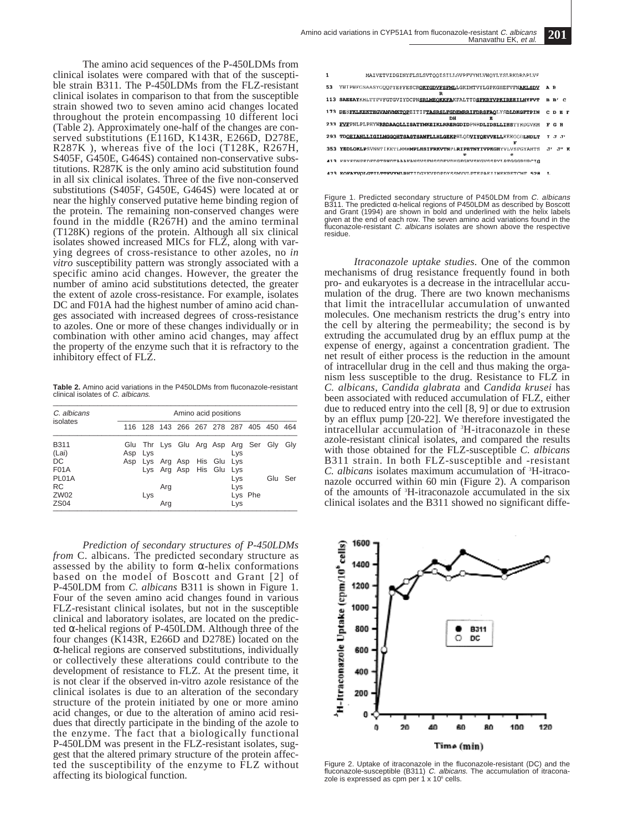The amino acid sequences of the P-450LDMs from clinical isolates were compared with that of the susceptible strain B311. The P-450LDMs from the FLZ-resistant clinical isolates in comparison to that from the susceptible strain showed two to seven amino acid changes located throughout the protein encompassing 10 different loci (Table 2). Approximately one-half of the changes are conserved substitutions (E116D, K143R, E266D, D278E, R287K ), whereas five of the loci (T128K, R267H, S405F, G450E, G464S) contained non-conservative substitutions. R287K is the only amino acid substitution found in all six clinical isolates. Three of the five non-conserved substitutions (S405F, G450E, G464S) were located at or near the highly conserved putative heme binding region of the protein. The remaining non-conserved changes were found in the middle (R267H) and the amino terminal (T128K) regions of the protein. Although all six clinical isolates showed increased MICs for FLZ, along with varying degrees of cross-resistance to other azoles, no *in vitro* susceptibility pattern was strongly associated with a specific amino acid changes. However, the greater the number of amino acid substitutions detected, the greater the extent of azole cross-resistance. For example, isolates DC and F01A had the highest number of amino acid changes associated with increased degrees of cross-resistance to azoles. One or more of these changes individually or in combination with other amino acid changes, may affect the property of the enzyme such that it is refractory to the inhibitory effect of FLZ.

**Table 2.** Amino acid variations in the P450LDMs from fluconazole-resistant clinical isolates of  $C$ . albicans.

| C. albicans          |     |     |     |  | Amino acid positions    |     |                                         |         |
|----------------------|-----|-----|-----|--|-------------------------|-----|-----------------------------------------|---------|
| isolates             |     |     |     |  |                         |     | 116 128 143 266 267 278 287 405 450 464 |         |
| <b>B311</b><br>(Lai) | Asp | Lys |     |  |                         | Lys | Glu Thr Lys Glu Arg Asp Arg Ser Gly     | Gly     |
| DC                   | Asp |     |     |  | Lys Arg Asp His Glu Lys |     |                                         |         |
| <b>F01A</b><br>PL01A |     |     |     |  | Lys Arg Asp His Glu Lys | Lys |                                         | Glu Ser |
| <b>RC</b>            |     |     | Arg |  |                         | Lys |                                         |         |
| ZW02<br><b>ZS04</b>  |     | Lys | Ara |  |                         | Lys | Lys Phe                                 |         |

*Prediction of secondary structures of P-450LDMs from* C. albicans. The predicted secondary structure as assessed by the ability to form  $\alpha$ -helix conformations based on the model of Boscott and Grant [2] of P-450LDM from *C. albicans* B311 is shown in Figure 1. Four of the seven amino acid changes found in various FLZ-resistant clinical isolates, but not in the susceptible clinical and laboratory isolates, are located on the predicted  $\alpha$ -helical regions of P-450LDM. Although three of the four changes (K143R, E266D and D278E) located on the α-helical regions are conserved substitutions, individually or collectively these alterations could contribute to the development of resistance to FLZ. At the present time, it is not clear if the observed in-vitro azole resistance of the clinical isolates is due to an alteration of the secondary structure of the protein initiated by one or more amino acid changes, or due to the alteration of amino acid residues that directly participate in the binding of the azole to the enzyme. The fact that a biologically functional P-450LDM was present in the FLZ-resistant isolates, suggest that the altered primary structure of the protein affected the susceptibility of the enzyme to FLZ without affecting its biological function.



Figure 1. Predicted secondary structure of P450LDM from C. albicans B311. The predicted α-helical regions of P450LDM as described by Boscott and Grant (1994) are shown in bold and underlined with the helix labels given at the end of each row. The seven amino acid variations found in the fluconazole-resistant C. albicans isolates are shown above the respective residue.

*Itraconazole uptake studies.* One of the common mechanisms of drug resistance frequently found in both pro- and eukaryotes is a decrease in the intracellular accumulation of the drug. There are two known mechanisms that limit the intracellular accumulation of unwanted molecules. One mechanism restricts the drug's entry into the cell by altering the permeability; the second is by extruding the accumulated drug by an efflux pump at the expense of energy, against a concentration gradient. The net result of either process is the reduction in the amount of intracellular drug in the cell and thus making the organism less susceptible to the drug. Resistance to FLZ in *C. albicans*, *Candida glabrata* and *Candida krusei* has been associated with reduced accumulation of FLZ, either due to reduced entry into the cell [8, 9] or due to extrusion by an efflux pump [20-22]. We therefore investigated the intracellular accumulation of 3 H-itraconazole in these azole-resistant clinical isolates, and compared the results with those obtained for the FLZ-susceptible *C. albicans* B311 strain. In both FLZ-susceptible and -resistant *C. albicans* isolates maximum accumulation of 3 H-itraconazole occurred within 60 min (Figure 2). A comparison of the amounts of 3 H-itraconazole accumulated in the six clinical isolates and the B311 showed no significant diffe-



Figure 2. Uptake of itraconazole in the fluconazole-resistant (DC) and the fluconazole-susceptible (B311) C. albicans. The accumulation of itraconazole is expressed as cpm per  $1 \times 10^6$  cells.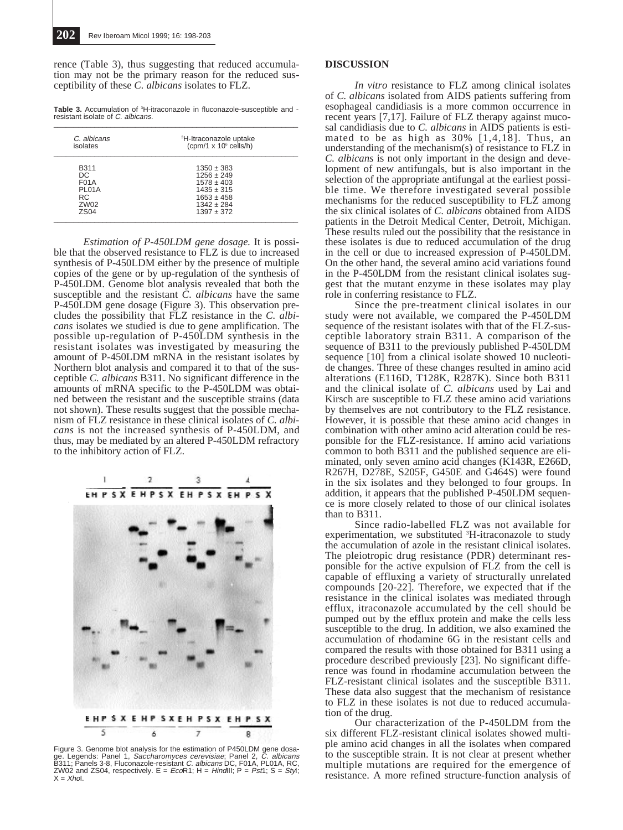rence (Table 3), thus suggesting that reduced accumulation may not be the primary reason for the reduced susceptibility of these *C. albicans* isolates to FLZ.

Table 3. Accumulation of <sup>3</sup>H-itraconazole in fluconazole-susceptible and resistant isolate of C. albicans.

| C. albicans<br>isolates | <sup>3</sup> H-Itraconazole uptake<br>(cpm/1 $\times$ 10 $\textdegree$ cells/h) |  |  |
|-------------------------|---------------------------------------------------------------------------------|--|--|
| B311                    | $1350 \pm 383$                                                                  |  |  |
| DC.                     | $1256 \pm 249$                                                                  |  |  |
| <b>F01A</b>             | $1578 \pm 403$                                                                  |  |  |
| PL01A                   | $1435 \pm 315$                                                                  |  |  |
| RC.                     | $1653 \pm 458$                                                                  |  |  |
| ZW02                    | $1342 \pm 284$                                                                  |  |  |
| ZS <sub>04</sub>        | $1397 + 372$                                                                    |  |  |

*Estimation of P-450LDM gene dosage.* It is possible that the observed resistance to FLZ is due to increased synthesis of P-450LDM either by the presence of multiple copies of the gene or by up-regulation of the synthesis of P-450LDM. Genome blot analysis revealed that both the susceptible and the resistant *C. albicans* have the same P-450LDM gene dosage (Figure 3). This observation precludes the possibility that FLZ resistance in the *C. albicans* isolates we studied is due to gene amplification. The possible up-regulation of P-450LDM synthesis in the resistant isolates was investigated by measuring the amount of P-450LDM mRNA in the resistant isolates by Northern blot analysis and compared it to that of the susceptible *C. albicans* B311. No significant difference in the amounts of mRNA specific to the P-450LDM was obtained between the resistant and the susceptible strains (data not shown). These results suggest that the possible mechanism of FLZ resistance in these clinical isolates of *C. albicans* is not the increased synthesis of P-450LDM, and thus, may be mediated by an altered P-450LDM refractory to the inhibitory action of FLZ.



Figure 3. Genome blot analysis for the estimation of P450LDM gene dosa-<br>ge. Legends: Panel 1, *Saccharomyces cerevisiae*; Panel 2, *C. albicans*<br>B311; Panels 3-8, Fluconazole-resistant *C. albicans* DC, F01A, PL01A, RC,<br>ZW

## **DISCUSSION**

*In vitro* resistance to FLZ among clinical isolates of *C. albicans* isolated from AIDS patients suffering from esophageal candidiasis is a more common occurrence in recent years [7,17]. Failure of FLZ therapy against mucosal candidiasis due to *C. albicans* in AIDS patients is estimated to be as high as  $30\%$  [1,4,18]. Thus, an understanding of the mechanism(s) of resistance to FLZ in *C. albicans* is not only important in the design and development of new antifungals, but is also important in the selection of the appropriate antifungal at the earliest possible time. We therefore investigated several possible mechanisms for the reduced susceptibility to FLZ among the six clinical isolates of *C. albicans* obtained from AIDS patients in the Detroit Medical Center, Detroit, Michigan. These results ruled out the possibility that the resistance in these isolates is due to reduced accumulation of the drug in the cell or due to increased expression of P-450LDM. On the other hand, the several amino acid variations found in the P-450LDM from the resistant clinical isolates suggest that the mutant enzyme in these isolates may play role in conferring resistance to FLZ.

Since the pre-treatment clinical isolates in our study were not available, we compared the P-450LDM sequence of the resistant isolates with that of the FLZ-susceptible laboratory strain B311. A comparison of the sequence of B311 to the previously published P-450LDM sequence [10] from a clinical isolate showed 10 nucleotide changes. Three of these changes resulted in amino acid alterations (E116D, T128K, R287K). Since both B311 and the clinical isolate of *C. albicans* used by Lai and Kirsch are susceptible to FLZ these amino acid variations by themselves are not contributory to the FLZ resistance. However, it is possible that these amino acid changes in combination with other amino acid alteration could be responsible for the FLZ-resistance. If amino acid variations common to both B311 and the published sequence are eliminated, only seven amino acid changes (K143R, E266D, R267H, D278E, S205F, G450E and G464S) were found in the six isolates and they belonged to four groups. In addition, it appears that the published P-450LDM sequence is more closely related to those of our clinical isolates than to B311.

Since radio-labelled FLZ was not available for experimentation, we substituted <sup>3</sup>H-itraconazole to study the accumulation of azole in the resistant clinical isolates. The pleiotropic drug resistance (PDR) determinant responsible for the active expulsion of FLZ from the cell is capable of effluxing a variety of structurally unrelated compounds [20-22]. Therefore, we expected that if the resistance in the clinical isolates was mediated through efflux, itraconazole accumulated by the cell should be pumped out by the efflux protein and make the cells less susceptible to the drug. In addition, we also examined the accumulation of rhodamine 6G in the resistant cells and compared the results with those obtained for B311 using a procedure described previously [23]. No significant difference was found in rhodamine accumulation between the FLZ-resistant clinical isolates and the susceptible B311. These data also suggest that the mechanism of resistance to FLZ in these isolates is not due to reduced accumulation of the drug.

Our characterization of the P-450LDM from the six different FLZ-resistant clinical isolates showed multiple amino acid changes in all the isolates when compared to the susceptible strain. It is not clear at present whether multiple mutations are required for the emergence of resistance. A more refined structure-function analysis of